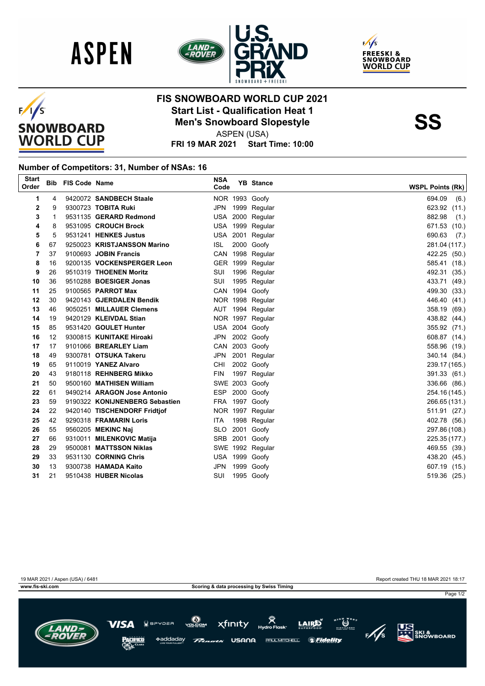







## **FIS SNOWBOARD WORLD CUP 2021 Start List - Qualification Heat 1**<br>
Men's Snowboard Slopestyle<br>
ASPEN (USA)

ASPEN (USA)

**FRI 19 MAR 2021 Start Time: 10:00**

## **Number of Competitors: 31, Number of NSAs: 16**

| <b>Start</b><br>Order |    | <b>Bib FIS Code Name</b> |                                | <b>NSA</b><br>Code | <b>YB</b> Stance | <b>WSPL Points (Rk)</b> |
|-----------------------|----|--------------------------|--------------------------------|--------------------|------------------|-------------------------|
| 1                     | 4  |                          | 9420072 SANDBECH Staale        |                    | NOR 1993 Goofy   | 694.09<br>(6.)          |
| 2                     | 9  |                          | 9300723 TOBITA Ruki            |                    | JPN 1999 Regular | 623.92 (11.)            |
| 3                     | 1  |                          | 9531135 GERARD Redmond         |                    | USA 2000 Regular | 882.98<br>(1.)          |
| 4                     | 8  |                          | 9531095 CROUCH Brock           |                    | USA 1999 Regular | 671.53 (10.)            |
| 5                     | 5  |                          | 9531241 HENKES Justus          |                    | USA 2001 Regular | 690.63<br>(7.)          |
| 6                     | 67 |                          | 9250023 KRISTJANSSON Marino    | ISL.               | 2000 Goofy       | 281.04 (117.)           |
| 7                     | 37 |                          | 9100693 JOBIN Francis          |                    | CAN 1998 Regular | 422.25 (50.)            |
| 8                     | 16 |                          | 9200135 VOCKENSPERGER Leon     |                    | GER 1999 Regular | 585.41 (18.)            |
| 9                     | 26 |                          | 9510319 THOENEN Moritz         | SUI                | 1996 Regular     | 492.31 (35.)            |
| 10                    | 36 |                          | 9510288 BOESIGER Jonas         | SUI                | 1995 Regular     | 433.71 (49.)            |
| 11                    | 25 |                          | 9100565 <b>PARROT Max</b>      |                    | CAN 1994 Goofy   | 499.30 (33.)            |
| 12                    | 30 |                          | 9420143 GJERDALEN Bendik       |                    | NOR 1998 Regular | 446.40 (41.)            |
| 13                    | 46 |                          | 9050251 MILLAUER Clemens       |                    | AUT 1994 Regular | 358.19 (69.)            |
| 14                    | 19 |                          | 9420129 KLEIVDAL Stian         |                    | NOR 1997 Regular | 438.82 (44.)            |
| 15                    | 85 |                          | 9531420 GOULET Hunter          |                    | USA 2004 Goofy   | 355.92 (71.)            |
| 16                    | 12 |                          | 9300815 KUNITAKE Hiroaki       |                    | JPN 2002 Goofy   | 608.87 (14.)            |
| 17                    | 17 |                          | 9101066 BREARLEY Liam          |                    | CAN 2003 Goofy   | 558.96 (19.)            |
| 18                    | 49 |                          | 9300781 OTSUKA Takeru          |                    | JPN 2001 Regular | 340.14 (84.)            |
| 19                    | 65 |                          | 9110019 YANEZ Alvaro           | <b>CHI</b>         | 2002 Goofy       | 239.17 (165.)           |
| 20                    | 43 |                          | 9180118 REHNBERG Mikko         | <b>FIN</b>         | 1997 Regular     | 391.33 (61.)            |
| 21                    | 50 |                          | 9500160 MATHISEN William       |                    | SWE 2003 Goofy   | 336.66 (86.)            |
| 22                    | 61 |                          | 9490214 ARAGON Jose Antonio    |                    | ESP 2000 Goofy   | 254.16 (145.)           |
| 23                    | 59 |                          | 9190322 KONIJNENBERG Sebastien |                    | FRA 1997 Goofy   | 266.65 (131.)           |
| 24                    | 22 |                          | 9420140 TISCHENDORF Fridtjof   |                    | NOR 1997 Regular | 511.91 (27.)            |
| 25                    | 42 |                          | 9290318 FRAMARIN Loris         | ITA.               | 1998 Regular     | 402.78 (56.)            |
| 26                    | 55 |                          | 9560205 MEKINC Naj             | <b>SLO</b>         | 2001 Goofy       | 297.86 (108.)           |
| 27                    | 66 |                          | 9310011 MILENKOVIC Matija      |                    | SRB 2001 Goofy   | 225.35 (177.)           |
| 28                    | 29 |                          | 9500081 MATTSSON Niklas        |                    | SWE 1992 Regular | 469.55 (39.)            |
| 29                    | 33 |                          | 9531130 CORNING Chris          |                    | USA 1999 Goofy   | 438.20 (45.)            |
| 30                    | 13 |                          | 9300738 HAMADA Kaito           |                    | JPN 1999 Goofy   | 607.19 (15.)            |
| 31                    | 21 |                          | 9510438 HUBER Nicolas          | SUI                | 1995 Goofy       | 519.36 (25.)            |
|                       |    |                          |                                |                    |                  |                         |